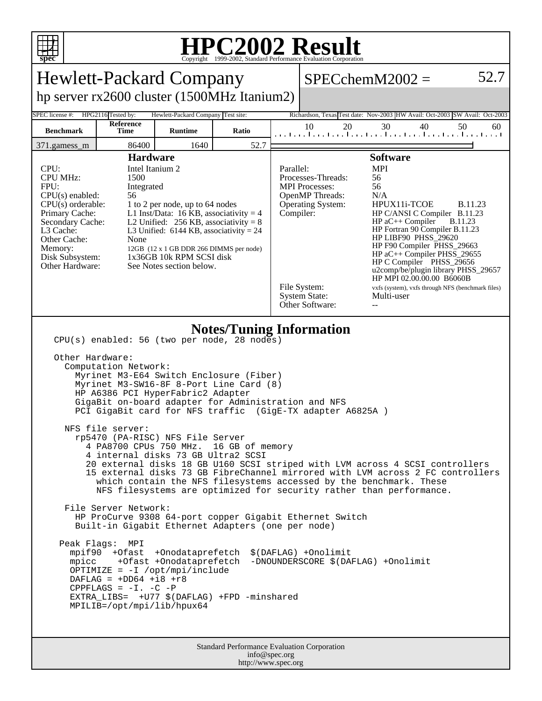

## **HPC2002 Result**

| <b>Hewlett-Packard Company</b>                                                                                                                                                                                                                                                                                                                                                                                                                                                                                                                                                                                                                                                                                                                                                                                                                                                                                                                                                                                                                                                                                                                                                                                                                                                                         |                   |                |       |                                                                                                                                                                                                                                                                                                                                                                                                                                                                                                                                                                                                                                                           |          | $SPECchemM2002 =$                                                           | 52.7     |
|--------------------------------------------------------------------------------------------------------------------------------------------------------------------------------------------------------------------------------------------------------------------------------------------------------------------------------------------------------------------------------------------------------------------------------------------------------------------------------------------------------------------------------------------------------------------------------------------------------------------------------------------------------------------------------------------------------------------------------------------------------------------------------------------------------------------------------------------------------------------------------------------------------------------------------------------------------------------------------------------------------------------------------------------------------------------------------------------------------------------------------------------------------------------------------------------------------------------------------------------------------------------------------------------------------|-------------------|----------------|-------|-----------------------------------------------------------------------------------------------------------------------------------------------------------------------------------------------------------------------------------------------------------------------------------------------------------------------------------------------------------------------------------------------------------------------------------------------------------------------------------------------------------------------------------------------------------------------------------------------------------------------------------------------------------|----------|-----------------------------------------------------------------------------|----------|
| hp server rx2600 cluster (1500MHz Itanium2)                                                                                                                                                                                                                                                                                                                                                                                                                                                                                                                                                                                                                                                                                                                                                                                                                                                                                                                                                                                                                                                                                                                                                                                                                                                            |                   |                |       |                                                                                                                                                                                                                                                                                                                                                                                                                                                                                                                                                                                                                                                           |          |                                                                             |          |
| HPG2116 Tested by:<br>Hewlett-Packard Company Test site:<br>SPEC license #:                                                                                                                                                                                                                                                                                                                                                                                                                                                                                                                                                                                                                                                                                                                                                                                                                                                                                                                                                                                                                                                                                                                                                                                                                            |                   |                |       |                                                                                                                                                                                                                                                                                                                                                                                                                                                                                                                                                                                                                                                           |          | Richardson, Texas Test date: Nov-2003 HW Avail: Oct-2003 SW Avail: Oct-2003 |          |
| <b>Benchmark</b>                                                                                                                                                                                                                                                                                                                                                                                                                                                                                                                                                                                                                                                                                                                                                                                                                                                                                                                                                                                                                                                                                                                                                                                                                                                                                       | Reference<br>Time | <b>Runtime</b> | Ratio |                                                                                                                                                                                                                                                                                                                                                                                                                                                                                                                                                                                                                                                           | 10<br>20 | 30<br>40<br>المتحا وبالمتما ويتمارح بالمتحا ويتمار وبالمتحارث والمتحالين    | 50<br>60 |
| 371.gamess_m                                                                                                                                                                                                                                                                                                                                                                                                                                                                                                                                                                                                                                                                                                                                                                                                                                                                                                                                                                                                                                                                                                                                                                                                                                                                                           | 86400             | 1640           | 52.7  |                                                                                                                                                                                                                                                                                                                                                                                                                                                                                                                                                                                                                                                           |          |                                                                             |          |
| <b>Hardware</b><br>Intel Itanium 2<br>CPU:<br><b>CPU MHz:</b><br>1500<br>FPU:<br>Integrated<br>$CPU(s)$ enabled:<br>56<br>$CPU(s)$ orderable:<br>1 to 2 per node, up to 64 nodes<br>Primary Cache:<br>L1 Inst/Data: 16 KB, associativity = $4$<br>Secondary Cache:<br>L2 Unified: $256$ KB, associativity = 8<br>L3 Cache:<br>L3 Unified: $6144$ KB, associativity = 24<br>Other Cache:<br>None<br>Memory:<br>12GB (12 x 1 GB DDR 266 DIMMS per node)<br>1x36GB 10k RPM SCSI disk<br>Disk Subsystem:<br>Other Hardware:<br>See Notes section below.                                                                                                                                                                                                                                                                                                                                                                                                                                                                                                                                                                                                                                                                                                                                                    |                   |                |       | <b>Software</b><br>Parallel:<br><b>MPI</b><br>Processes-Threads:<br>56<br><b>MPI</b> Processes:<br>56<br>OpenMP Threads:<br>N/A<br>HPUX11i-TCOE<br><b>B.11.23</b><br><b>Operating System:</b><br>Compiler:<br>HP C/ANSI C Compiler B.11.23<br>$HP$ aC++ Compiler<br><b>B.11.23</b><br>HP Fortran 90 Compiler B.11.23<br>HP LIBF90 PHSS_29620<br>HP F90 Compiler PHSS_29663<br>HP aC++ Compiler PHSS_29655<br>HP C Compiler PHSS_29656<br>u2comp/be/plugin library PHSS_29657<br>HP MPI 02.00.00.00 B6060B<br>File System:<br>vxfs (system), vxfs through NFS (benchmark files)<br><b>System State:</b><br>Multi-user<br>Other Software:<br>$\overline{a}$ |          |                                                                             |          |
| <b>Notes/Tuning Information</b><br>CPU(s) enabled: 56 (two per node, 28 nodes)<br>Other Hardware:<br>Computation Network:<br>Myrinet M3-E64 Switch Enclosure (Fiber)<br>Myrinet M3-SW16-8F 8-Port Line Card (8)<br>HP A6386 PCI HyperFabric2 Adapter<br>GigaBit on-board adapter for Administration and NFS<br>PCI GigaBit card for NFS traffic (GigE-TX adapter A6825A)<br>NFS file server:<br>rp5470 (PA-RISC) NFS File Server<br>4 PA8700 CPUs 750 MHz.<br>16 GB of memory<br>4 internal disks 73 GB Ultra2 SCSI<br>20 external disks 18 GB U160 SCSI striped with LVM across 4 SCSI controllers<br>15 external disks 73 GB FibreChannel mirrored with LVM across 2 FC controllers<br>which contain the NFS filesystems accessed by the benchmark. These<br>NFS filesystems are optimized for security rather than performance.<br>File Server Network:<br>HP ProCurve 9308 64-port copper Gigabit Ethernet Switch<br>Built-in Gigabit Ethernet Adapters (one per node)<br>Peak Flags: MPI<br>mpif90 +Ofast +Onodataprefetch<br>\$(DAFLAG) +Onolimit<br>mpicc +Ofast +Onodataprefetch<br>-DNOUNDERSCORE \$(DAFLAG) +Onolimit<br>OPTIMIZE = $-I$ /opt/mpi/include<br>DAFLAG = $+DD64$ +i8 +r8<br>CPPFLAGS = $-I. -C$ -P<br>EXTRA_LIBS= +U77 \$(DAFLAG) +FPD -minshared<br>MPILIB=/opt/mpi/lib/hpux64 |                   |                |       |                                                                                                                                                                                                                                                                                                                                                                                                                                                                                                                                                                                                                                                           |          |                                                                             |          |
| Standard Performance Evaluation Corporation<br>info@spec.org                                                                                                                                                                                                                                                                                                                                                                                                                                                                                                                                                                                                                                                                                                                                                                                                                                                                                                                                                                                                                                                                                                                                                                                                                                           |                   |                |       |                                                                                                                                                                                                                                                                                                                                                                                                                                                                                                                                                                                                                                                           |          |                                                                             |          |

http://www.spec.org